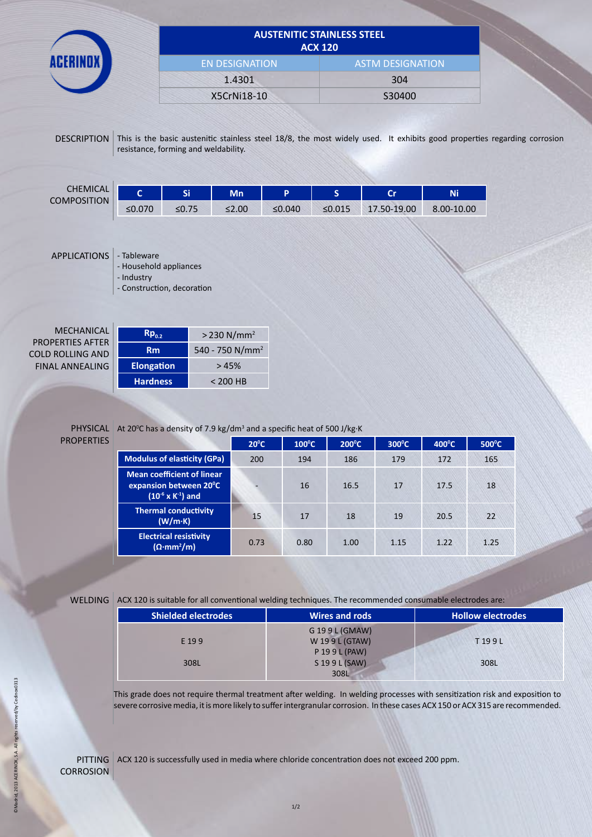|                                |                                      |             | <b>AUSTENITIC STAINLESS STEEL</b> | <b>ACX 120</b>          |                                                                                                                          |            |  |
|--------------------------------|--------------------------------------|-------------|-----------------------------------|-------------------------|--------------------------------------------------------------------------------------------------------------------------|------------|--|
|                                | <b>EN DESIGNATION</b>                |             |                                   | <b>ASTM DESIGNATION</b> |                                                                                                                          |            |  |
|                                | 1.4301                               |             |                                   |                         | 304                                                                                                                      |            |  |
|                                |                                      | X5CrNi18-10 |                                   | S30400                  |                                                                                                                          |            |  |
| <b>DESCRIPTION</b>             | resistance, forming and weldability. |             |                                   |                         | This is the basic austenitic stainless steel 18/8, the most widely used. It exhibits good properties regarding corrosion |            |  |
|                                |                                      |             |                                   |                         |                                                                                                                          |            |  |
| <b>CHEMICAL</b><br>Ċ.          | Si:                                  | Mn          | P                                 | <sub>S</sub>            | cr                                                                                                                       | <b>Ni</b>  |  |
| <b>COMPOSITION</b><br>$≤0.070$ | $≤0.75$                              | $≤2.00$     | ≤0.040                            | ≤0.015                  | 17.50-19.00                                                                                                              | 8.00-10.00 |  |

| <b>MECHANICAL</b><br><b>PROPERTIES AFTER</b> | $Rp_{02}$         |
|----------------------------------------------|-------------------|
| <b>COLD ROLLING AND</b>                      | <b>Rm</b>         |
| <b>FINAL ANNEALING</b>                       | <b>Elongation</b> |
|                                              | Hardness          |

| $Rp_{02}$         | $>$ 230 N/mm <sup>2</sup>   |
|-------------------|-----------------------------|
| Rm                | 540 - 750 N/mm <sup>2</sup> |
| <b>Elongation</b> | >45%                        |
| <b>Hardness</b>   | $< 200$ HB                  |

## PROPERTIES

PHYSICAL At 20<sup>o</sup>C has a density of 7.9 kg/dm<sup>3</sup> and a specific heat of 500 J/kg·K

|                                                                                                           | $20^{\circ}$ C | $100^{\circ}$ C | $200^{\circ}$ C | $300^{\circ}$ C | $400^{\circ}$ C | $500^{\circ}$ C |
|-----------------------------------------------------------------------------------------------------------|----------------|-----------------|-----------------|-----------------|-----------------|-----------------|
| <b>Modulus of elasticity (GPa)</b>                                                                        | 200            | 194             | 186             | 179             | 172             | 165             |
| <b>Mean coefficient of linear</b><br>expansion between 20 <sup>°</sup> C<br>$(10^{-6} \times K^{-1})$ and |                | 16              | 16.5            | 17              | 17.5            | 18              |
| <b>Thermal conductivity</b><br>(W/m·K)                                                                    | 15             | 17              | 18              | 19              | 20.5            | 22              |
| <b>Electrical resistivity</b><br>$(\Omega \cdot mm^2/m)$                                                  | 0.73           | 0.80            | 1.00            | 1.15            | 1.22            | 1.25            |

WELDING ACX 120 is suitable for all conventional welding techniques. The recommended consumable electrodes are:

| <b>Shielded electrodes</b> | Wires and rods | <b>Hollow electrodes</b> |
|----------------------------|----------------|--------------------------|
|                            | G 199L (GMAW)  |                          |
| E 199                      | W 199L (GTAW)  | T199L                    |
|                            | P 19 9 L (PAW) |                          |
| 308L                       | S 19 9 L (SAW) | 308L                     |
|                            | 308L           |                          |

This grade does not require thermal treatment after welding. In welding processes with sensitization risk and exposition to severe corrosive media, it is more likely to suffer intergranular corrosion. In these cases ACX 150 or ACX 315 are recommended.

PITTING ACX 120 is successfully used in media where chloride concentration does not exceed 200 ppm. **CORROSION**